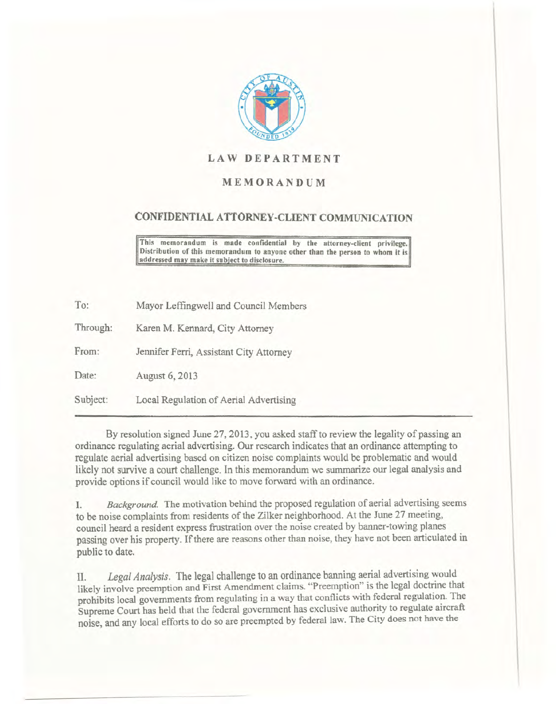

## LAW DEPARTMENT

## MEMORANDUM

## CONFIDENTIAL ATTORNEY-CLIENT COMMUNICATION

This memorandum is made confidential by the attorney-client privilege. Distribution of this memorandum to anyone other than the person to whom it is addressed may make it subject to disclosure.

To: Through: From: Date: Subject: Mayor Leffingwell and Council Members Karen M. Kennard, City Attorney Jennifer Ferri. Assistant City Attorney August 6, 2013 Local Regulation of Aerial Advertising

By resolution signed June 27, 2013, you asked staff to review the legality of passing an ordinance regulating aerial advertising. Our research indicates that an ordinance attempting to regulate aerial advertising based on citizen noise complaints would be problematic and would likely not survive a court challenge. In this memorandum we summarize our legal analysis and

provide options if council would like to move forward with an ordinance.

I. *Background.* The motivation behind the proposed regulation of aerial advertising seems to be noise complaints from residents of the Zilker neighborhood. At the June 27 meeting, council heard a resident express frustration over the noise created by banner-towing planes passing over his property. If there are reasons other than noise, they have not been articulated in public to date.

II. *Legal Analysis.* The legal challenge to an ordinance banning aerial advertising would likely involve preemption and First Amendment claims. "Preemption" is the legal doctrine that prohibits local governments from regulating in a way that conflicts with federal regulation. The Supreme Court has held that the federal government has exclusive authority to regulate aircraft noise, and any local efforts to do so are preempted by federal law. The City does not have the